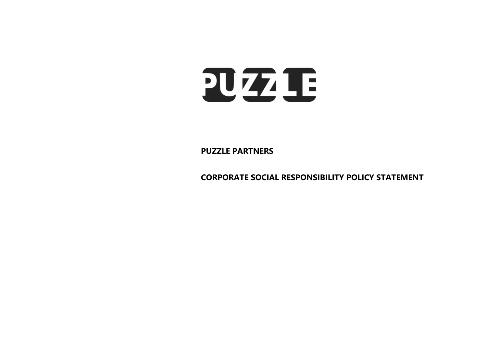

**PUZZLE PARTNERS**

**CORPORATE SOCIAL RESPONSIBILITY POLICY STATEMENT**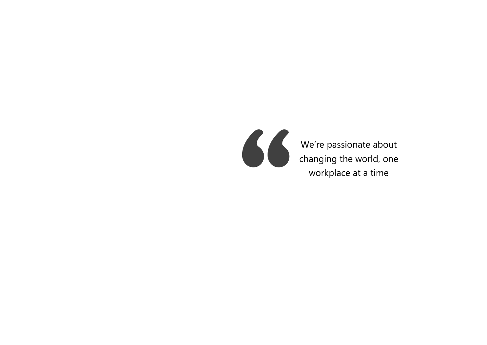

We're passionate about We're passionate about<br>changing the world, one<br>workplace at a time workplace at a time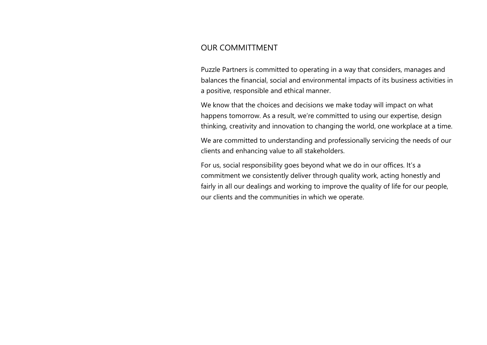## OUR COMMITTMENT

Puzzle Partners is committed to operating in a way that considers, manages and balances the financial, social and environmental impacts of its business activities in a positive, responsible and ethical manner.

We know that the choices and decisions we make today will impact on what happens tomorrow. As a result, we're committed to using our expertise, design thinking, creativity and innovation to changing the world, one workplace at a time.

We are committed to understanding and professionally servicing the needs of our clients and enhancing value to all stakeholders.

For us, social responsibility goes beyond what we do in our offices. It's a commitment we consistently deliver through quality work, acting honestly and fairly in all our dealings and working to improve the quality of life for our people, our clients and the communities in which we operate.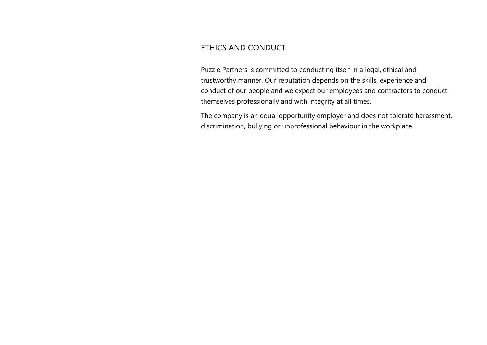# ETHICS AND CONDUCT

Puzzle Partners is committed to conducting itself in a legal, ethical and trustworthy manner. Our reputation depends on the skills, experience and conduct of our people and we expect our employees and contractors to conduct themselves professionally and with integrity at all times.

The company is an equal opportunity employer and does not tolerate harassment, discrimination, bullying or unprofessional behaviour in the workplace.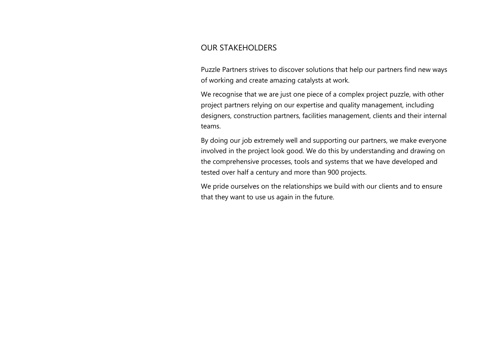## OUR STAKEHOLDERS

Puzzle Partners strives to discover solutions that help our partners find new ways of working and create amazing catalysts at work.

We recognise that we are just one piece of a complex project puzzle, with other project partners relying on our expertise and quality management, including designers, construction partners, facilities management, clients and their internal teams.

By doing our job extremely well and supporting our partners, we make everyone involved in the project look good. We do this by understanding and drawing on the comprehensive processes, tools and systems that we have developed and tested over half a century and more than 900 projects.

We pride ourselves on the relationships we build with our clients and to ensure that they want to use us again in the future.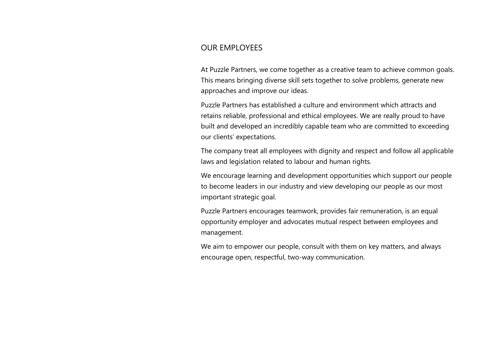#### OUR EMPLOYEES

At Puzzle Partners, we come together as a creative team to achieve common goals. This means bringing diverse skill sets together to solve problems, generate new approaches and improve our ideas.

Puzzle Partners has established a culture and environment which attracts and retains reliable, professional and ethical employees. We are really proud to have built and developed an incredibly capable team who are committed to exceeding our clients' expectations.

The company treat all employees with dignity and respect and follow all applicable laws and legislation related to labour and human rights.

We encourage learning and development opportunities which support our people to become leaders in our industry and view developing our people as our most important strategic goal.

Puzzle Partners encourages teamwork, provides fair remuneration, is an equal opportunity employer and advocates mutual respect between employees and management.

We aim to empower our people, consult with them on key matters, and always encourage open, respectful, two-way communication.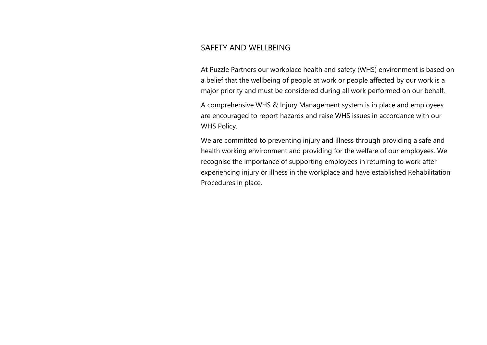## SAFFTY AND WFLLBEING

At Puzzle Partners our workplace health and safety (WHS) environment is based on a belief that the wellbeing of people at work or people affected by our work is a major priority and must be considered during all work performed on our behalf.

A comprehensive WHS & Injury Management system is in place and employees are encouraged to report hazards and raise WHS issues in accordance with our WHS Policy.

We are committed to preventing injury and illness through providing a safe and health working environment and providing for the welfare of our employees. We recognise the importance of supporting employees in returning to work after experiencing injury or illness in the workplace and have established Rehabilitation Procedures in place.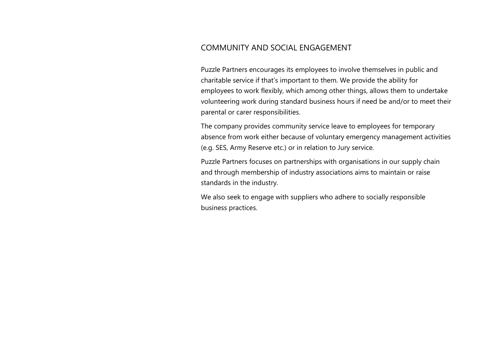## COMMUNITY AND SOCIAL ENGAGEMENT

Puzzle Partners encourages its employees to involve themselves in public and charitable service if that's important to them. We provide the ability for employees to work flexibly, which among other things, allows them to undertake volunteering work during standard business hours if need be and/or to meet their parental or carer responsibilities.

The company provides community service leave to employees for temporary absence from work either because of voluntary emergency management activities (e.g. SES, Army Reserve etc.) or in relation to Jury service.

Puzzle Partners focuses on partnerships with organisations in our supply chain and through membership of industry associations aims to maintain or raise standards in the industry.

We also seek to engage with suppliers who adhere to socially responsible business practices.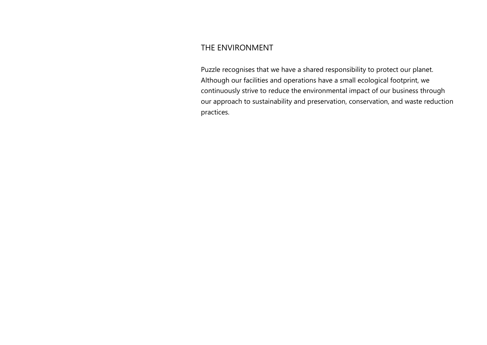#### THE ENVIRONMENT

Puzzle recognises that we have a shared responsibility to protect our planet. Although our facilities and operations have a small ecological footprint, we continuously strive to reduce the environmental impact of our business through our approach to sustainability and preservation, conservation, and waste reduction practices.